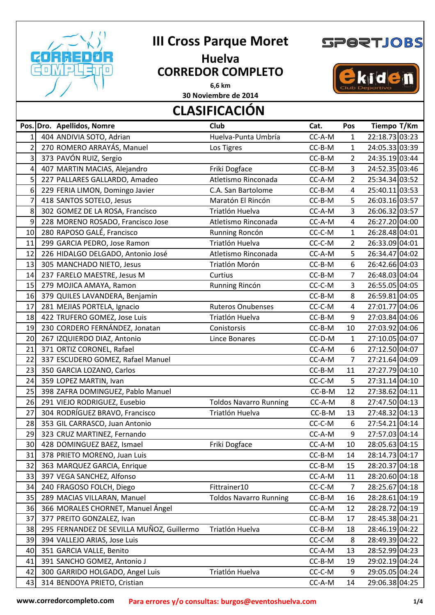

## **III Cross Parque Moret**

## **Huelva CORREDOR COMPLETO 6,6 km**



kiden

## **CLASIFICACIÓN 30 Noviembre de 2014**

|                | Pos. Dro. Apellidos, Nomre                | <b>Club</b>                   | Cat.     | Pos            | Tiempo T/Km    |
|----------------|-------------------------------------------|-------------------------------|----------|----------------|----------------|
| 1              | 404 ANDIVIA SOTO, Adrian                  | Huelva-Punta Umbría           | CC-A-M   | $\mathbf{1}$   | 22:18.73 03:23 |
| $\overline{2}$ | 270 ROMERO ARRAYÁS, Manuel                | Los Tigres                    | CC-B-M   | $\mathbf{1}$   | 24:05.33 03:39 |
| 3              | 373 PAVÓN RUIZ, Sergio                    |                               | CC-B-M   | 2              | 24:35.19 03:44 |
| 4              | 407 MARTIN MACIAS, Alejandro              | Friki Dogface                 | CC-B-M   | 3              | 24:52.35 03:46 |
| 5              | 227 PALLARES GALLARDO, Amadeo             | Atletismo Rinconada           | CC-A-M   | $\overline{2}$ | 25:34.34 03:52 |
| 6              | 229 FERIA LIMON, Domingo Javier           | C.A. San Bartolome            | CC-B-M   | 4              | 25:40.11 03:53 |
| $\overline{7}$ | 418 SANTOS SOTELO, Jesus                  | Maratón El Rincón             | CC-B-M   | 5              | 26:03.16 03:57 |
| 8              | 302 GOMEZ DE LA ROSA, Francisco           | Triatlón Huelva               | CC-A-M   | 3              | 26:06.32 03:57 |
| 9              | 228 MORENO ROSADO, Francisco Jose         | Atletismo Rinconada           | CC-A-M   | $\overline{4}$ | 26:27.20 04:00 |
| 10             | 280 RAPOSO GALÉ, Francisco                | Running Roncón                | CC-C-M   | $\mathbf{1}$   | 26:28.48 04:01 |
| 11             | 299 GARCIA PEDRO, Jose Ramon              | Triatlón Huelva               | CC-C-M   | $\overline{2}$ | 26:33.09 04:01 |
| 12             | 226 HIDALGO DELGADO, Antonio José         | Atletismo Rinconada           | CC-A-M   | 5              | 26:34.47 04:02 |
| 13             | 305 MANCHADO NIETO, Jesus                 | Triatlón Morón                | CC-B-M   | 6              | 26:42.66 04:03 |
| 14             | 237 FARELO MAESTRE, Jesus M               | Curtius                       | CC-B-M   | $\overline{7}$ | 26:48.03 04:04 |
| 15             | 279 MOJICA AMAYA, Ramon                   | Running Rincón                | CC-C-M   | 3              | 26:55.05 04:05 |
| 16             | 379 QUILES LAVANDERA, Benjamin            |                               | CC-B-M   | 8              | 26:59.81 04:05 |
| 17             | 281 MEJIAS PORTELA, Ignacio               | <b>Ruteros Onubenses</b>      | CC-C-M   | 4              | 27:01.77 04:06 |
| 18             | 422 TRUFERO GOMEZ, Jose Luis              | Triatlón Huelva               | CC-B-M   | 9              | 27:03.84 04:06 |
| 19             | 230 CORDERO FERNÁNDEZ, Jonatan            | Conistorsis                   | CC-B-M   | 10             | 27:03.92 04:06 |
| 20             | 267 IZQUIERDO DIAZ, Antonio               | <b>Lince Bonares</b>          | CC-D-M   | $\mathbf{1}$   | 27:10.05 04:07 |
| 21             | 371 ORTIZ CORONEL, Rafael                 |                               | CC-A-M   | 6              | 27:12.50 04:07 |
| 22             | 337 ESCUDERO GOMEZ, Rafael Manuel         |                               | CC-A-M   | $\overline{7}$ | 27:21.64 04:09 |
| 23             | 350 GARCIA LOZANO, Carlos                 |                               | CC-B-M   | 11             | 27:27.79 04:10 |
| 24             | 359 LOPEZ MARTIN, Ivan                    |                               | CC-C-M   | 5              | 27:31.14 04:10 |
| 25             | 398 ZAFRA DOMINGUEZ, Pablo Manuel         |                               | CC-B-M   | 12             | 27:38.62 04:11 |
| 26             | 291 VIEJO RODRIGUEZ, Eusebio              | <b>Toldos Navarro Running</b> | CC-A-M   | 8              | 27:47.50 04:13 |
| 27             | 304 RODRÍGUEZ BRAVO, Francisco            | Triatlón Huelva               | $CC-B-M$ | 13             | 27:48.32 04:13 |
| 28             | 353 GIL CARRASCO, Juan Antonio            |                               | CC-C-M   | 6              | 27:54.21 04:14 |
| 29             | 323 CRUZ MARTINEZ, Fernando               |                               | CC-A-M   | 9              | 27:57.03 04:14 |
| 30             | 428 DOMINGUEZ BAEZ, Ismael                | Friki Dogface                 | CC-A-M   | 10             | 28:05.63 04:15 |
| 31             | 378 PRIETO MORENO, Juan Luis              |                               | CC-B-M   | 14             | 28:14.73 04:17 |
| 32             | 363 MARQUEZ GARCIA, Enrique               |                               | CC-B-M   | 15             | 28:20.37 04:18 |
| 33             | 397 VEGA SANCHEZ, Alfonso                 |                               | CC-A-M   | 11             | 28:20.60 04:18 |
| 34             | 240 FRAGOSO FOLCH, Diego                  | Fittrainer10                  | CC-C-M   | $\overline{7}$ | 28:25.67 04:18 |
| 35             | 289 MACIAS VILLARAN, Manuel               | <b>Toldos Navarro Running</b> | CC-B-M   | 16             | 28:28.61 04:19 |
| 36             | 366 MORALES CHORNET, Manuel Ángel         |                               | CC-A-M   | 12             | 28:28.72 04:19 |
| 37             | 377 PREITO GONZALEZ, Ivan                 |                               | CC-B-M   | 17             | 28:45.38 04:21 |
| 38             | 295 FERNANDEZ DE SEVILLA MUÑOZ, Guillermo | Triatlón Huelva               | CC-B-M   | 18             | 28:46.19 04:22 |
| 39             | 394 VALLEJO ARIAS, Jose Luis              |                               | CC-C-M   | 8              | 28:49.39 04:22 |
| 40             | 351 GARCIA VALLE, Benito                  |                               | CC-A-M   | 13             | 28:52.99 04:23 |
| 41             | 391 SANCHO GOMEZ, Antonio J               |                               | $CC-B-M$ | 19             | 29:02.19 04:24 |
| 42             | 300 GARRIDO HOLGADO, Angel Luis           | Triatlón Huelva               | CC-C-M   | 9              | 29:05.05 04:24 |
| 43             | 314 BENDOYA PRIETO, Cristian              |                               | CC-A-M   | 14             | 29:06.38 04:25 |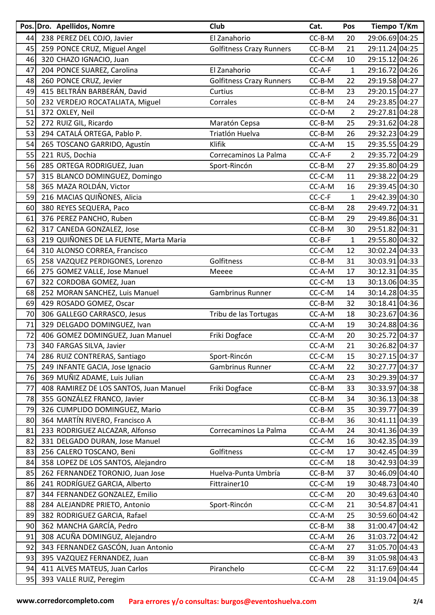|    |                 | Pos. Dro. Apellidos, Nomre             | Club                            | Cat.     | Pos            | Tiempo T/Km    |
|----|-----------------|----------------------------------------|---------------------------------|----------|----------------|----------------|
| 44 |                 | 238 PEREZ DEL COJO, Javier             | El Zanahorio                    | CC-B-M   | 20             | 29:06.69 04:25 |
| 45 |                 | 259 PONCE CRUZ, Miguel Angel           | <b>Golfitness Crazy Runners</b> | CC-B-M   | 21             | 29:11.24 04:25 |
| 46 |                 | 320 CHAZO IGNACIO, Juan                |                                 | CC-C-M   | 10             | 29:15.12 04:26 |
| 47 |                 | 204 PONCE SUAREZ, Carolina             | El Zanahorio                    | CC-A-F   | $\mathbf{1}$   | 29:16.72 04:26 |
| 48 |                 | 260 PONCE CRUZ, Jevier                 | <b>Golfitness Crazy Runners</b> | CC-B-M   | 22             | 29:19.58 04:27 |
| 49 |                 | 415 BELTRÁN BARBERÁN, David            | Curtius                         | CC-B-M   | 23             | 29:20.15 04:27 |
| 50 |                 | 232 VERDEJO ROCATALIATA, Miguel        | Corrales                        | CC-B-M   | 24             | 29:23.85 04:27 |
| 51 | 372 OXLEY, Neil |                                        |                                 | CC-D-M   | $\overline{2}$ | 29:27.81 04:28 |
| 52 |                 | 272 RUIZ GIL, Ricardo                  | Maratón Cepsa                   | CC-B-M   | 25             | 29:31.62 04:28 |
| 53 |                 | 294 CATALÁ ORTEGA, Pablo P.            | Triatlón Huelva                 | CC-B-M   | 26             | 29:32.23 04:29 |
| 54 |                 | 265 TOSCANO GARRIDO, Agustín           | Klifik                          | CC-A-M   | 15             | 29:35.55 04:29 |
| 55 | 221 RUS, Dochia |                                        | Correcaminos La Palma           | CC-A-F   | $\overline{2}$ | 29:35.72 04:29 |
| 56 |                 | 285 ORTEGA RODRIGUEZ, Juan             | Sport-Rincón                    | CC-B-M   | 27             | 29:35.80 04:29 |
| 57 |                 | 315 BLANCO DOMINGUEZ, Domingo          |                                 | CC-C-M   | 11             | 29:38.22 04:29 |
| 58 |                 | 365 MAZA ROLDÁN, Victor                |                                 | CC-A-M   | 16             | 29:39.45 04:30 |
| 59 |                 | 216 MACIAS QUIÑONES, Alicia            |                                 | CC-C-F   | $\mathbf{1}$   | 29:42.39 04:30 |
| 60 |                 | 380 REYES SEQUERA, Paco                |                                 | CC-B-M   | 28             | 29:49.72 04:31 |
| 61 |                 | 376 PEREZ PANCHO, Ruben                |                                 | CC-B-M   | 29             | 29:49.86 04:31 |
| 62 |                 | 317 CANEDA GONZALEZ, Jose              |                                 | CC-B-M   | 30             | 29:51.82 04:31 |
| 63 |                 | 219 QUIÑONES DE LA FUENTE, Marta Maria |                                 | CC-B-F   | $\mathbf{1}$   | 29:55.80 04:32 |
| 64 |                 | 310 ALONSO CORREA, Francisco           |                                 | CC-C-M   | 12             | 30:02.24 04:33 |
| 65 |                 | 258 VAZQUEZ PERDIGONES, Lorenzo        | Golfitness                      | CC-B-M   | 31             | 30:03.91 04:33 |
| 66 |                 | 275 GOMEZ VALLE, Jose Manuel           | Meeee                           | CC-A-M   | 17             | 30:12.31 04:35 |
| 67 |                 | 322 CORDOBA GOMEZ, Juan                |                                 | CC-C-M   | 13             | 30:13.06 04:35 |
| 68 |                 | 252 MORAN SANCHEZ, Luis Manuel         | Gambrinus Runner                | CC-C-M   | 14             | 30:14.28 04:35 |
| 69 |                 | 429 ROSADO GOMEZ, Oscar                |                                 | CC-B-M   | 32             | 30:18.41 04:36 |
| 70 |                 | 306 GALLEGO CARRASCO, Jesus            | Tribu de las Tortugas           | CC-A-M   | 18             | 30:23.67 04:36 |
| 71 |                 | 329 DELGADO DOMINGUEZ, Ivan            |                                 | CC-A-M   | 19             | 30:24.88 04:36 |
| 72 |                 | 406 GOMEZ DOMINGUEZ, Juan Manuel       | Friki Dogface                   | CC-A-M   | 20             | 30:25.72 04:37 |
| 73 |                 | 340 FARGAS SILVA, Javier               |                                 | CC-A-M   | 21             | 30:26.82 04:37 |
| 74 |                 | 286 RUIZ CONTRERAS, Santiago           | Sport-Rincón                    | CC-C-M   | 15             | 30:27.15 04:37 |
| 75 |                 | 249 INFANTE GACIA, Jose Ignacio        | Gambrinus Runner                | CC-A-M   | 22             | 30:27.77 04:37 |
| 76 |                 | 369 MUÑIZ ADAME, Luis Julian           |                                 | CC-A-M   | 23             | 30:29.39 04:37 |
| 77 |                 | 408 RAMIREZ DE LOS SANTOS, Juan Manuel | Friki Dogface                   | CC-B-M   | 33             | 30:33.97 04:38 |
| 78 |                 | 355 GONZÁLEZ FRANCO, Javier            |                                 | CC-B-M   | 34             | 30:36.13 04:38 |
| 79 |                 | 326 CUMPLIDO DOMINGUEZ, Mario          |                                 | CC-B-M   | 35             | 30:39.77 04:39 |
| 80 |                 | 364 MARTÍN RIVERO, Francisco A         |                                 | CC-B-M   | 36             | 30:41.11 04:39 |
| 81 |                 | 233 RODRIGUEZ ALCAZAR, Alfonso         | Correcaminos La Palma           | CC-A-M   | 24             | 30:41.36 04:39 |
| 82 |                 | 331 DELGADO DURAN, Jose Manuel         |                                 | CC-C-M   | 16             | 30:42.35 04:39 |
| 83 |                 | 256 CALERO TOSCANO, Beni               | Golfitness                      | CC-C-M   | 17             | 30:42.45 04:39 |
| 84 |                 | 358 LOPEZ DE LOS SANTOS, Alejandro     |                                 | $CC-C-M$ | 18             | 30:42.93 04:39 |
| 85 |                 | 262 FERNANDEZ TORONJO, Juan Jose       | Huelva-Punta Umbría             | CC-B-M   | 37             | 30:46.09 04:40 |
| 86 |                 | 241 RODRÍGUEZ GARCIA, Alberto          | Fittrainer10                    | CC-C-M   | 19             | 30:48.73 04:40 |
| 87 |                 | 344 FERNANDEZ GONZALEZ, Emilio         |                                 | CC-C-M   | 20             | 30:49.63 04:40 |
| 88 |                 | 284 ALEJANDRE PRIETO, Antonio          | Sport-Rincón                    | CC-C-M   | 21             | 30:54.87 04:41 |
| 89 |                 | 382 RODRIGUEZ GARCIA, Rafael           |                                 | CC-A-M   | 25             | 30:59.60 04:42 |
| 90 |                 | 362 MANCHA GARCÍA, Pedro               |                                 | CC-B-M   | 38             | 31:00.47 04:42 |
| 91 |                 | 308 ACUÑA DOMINGUZ, Alejandro          |                                 | CC-A-M   | 26             | 31:03.72 04:42 |
| 92 |                 | 343 FERNANDEZ GASCÓN, Juan Antonio     |                                 | CC-A-M   | 27             | 31:05.70 04:43 |
| 93 |                 | 395 VAZQUEZ FERNANDEZ, Juan            |                                 | CC-B-M   | 39             | 31:05.98 04:43 |
| 94 |                 | 411 ALVES MATEUS, Juan Carlos          | Piranchelo                      | CC-C-M   | 22             | 31:17.69 04:44 |
| 95 |                 | 393 VALLE RUIZ, Peregim                |                                 | CC-A-M   | 28             | 31:19.04 04:45 |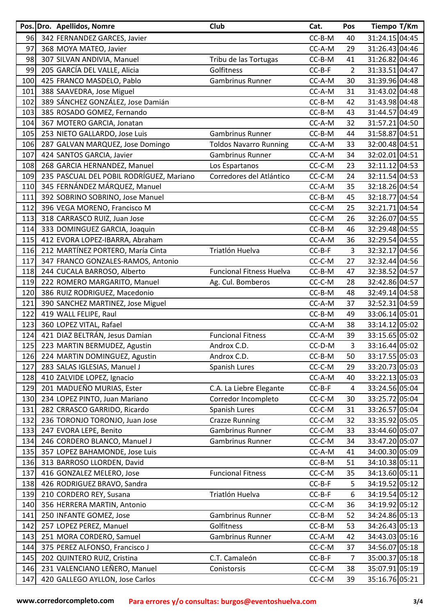|     | Pos. Dro. Apellidos, Nomre               | Club                            | Cat.     | Pos            | Tiempo T/Km    |
|-----|------------------------------------------|---------------------------------|----------|----------------|----------------|
| 96  | 342 FERNANDEZ GARCES, Javier             |                                 | CC-B-M   | 40             | 31:24.15 04:45 |
| 97  | 368 MOYA MATEO, Javier                   |                                 | CC-A-M   | 29             | 31:26.43 04:46 |
| 98  | 307 SILVAN ANDIVIA, Manuel               | Tribu de las Tortugas           | CC-B-M   | 41             | 31:26.82 04:46 |
| 99  | 205 GARCÍA DEL VALLE, Alicia             | Golfitness                      | CC-B-F   | $\overline{2}$ | 31:33.51 04:47 |
| 100 | 425 FRANCO MASDELO, Pablo                | Gambrinus Runner                | CC-A-M   | 30             | 31:39.96 04:48 |
| 101 | 388 SAAVEDRA, Jose Miguel                |                                 | CC-A-M   | 31             | 31:43.02 04:48 |
| 102 | 389 SÁNCHEZ GONZÁLEZ, Jose Damián        |                                 | CC-B-M   | 42             | 31:43.98 04:48 |
| 103 | 385 ROSADO GOMEZ, Fernando               |                                 | CC-B-M   | 43             | 31:44.57 04:49 |
| 104 | 367 MOTERO GARCIA, Jonatan               |                                 | CC-A-M   | 32             | 31:57.21 04:50 |
| 105 | 253 NIETO GALLARDO, Jose Luis            | <b>Gambrinus Runner</b>         | CC-B-M   | 44             | 31:58.87 04:51 |
| 106 | 287 GALVAN MARQUEZ, Jose Domingo         | <b>Toldos Navarro Running</b>   | CC-A-M   | 33             | 32:00.48 04:51 |
| 107 | 424 SANTOS GARCIA, Javier                | Gambrinus Runner                | CC-A-M   | 34             | 32:02.01 04:51 |
| 108 | 268 GARCIA HERNANDEZ, Manuel             | Los Espartanos                  | CC-C-M   | 23             | 32:11.12 04:53 |
| 109 | 235 PASCUAL DEL POBIL RODRÍGUEZ, Mariano | Corredores del Atlántico        | CC-C-M   | 24             | 32:11.54 04:53 |
| 110 | 345 FERNÁNDEZ MÁRQUEZ, Manuel            |                                 | CC-A-M   | 35             | 32:18.26 04:54 |
| 111 | 392 SOBRINO SOBRINO, Jose Manuel         |                                 | CC-B-M   | 45             | 32:18.77 04:54 |
| 112 | 396 VEGA MORENO, Francisco M             |                                 | CC-C-M   | 25             | 32:21.71 04:54 |
| 113 | 318 CARRASCO RUIZ, Juan Jose             |                                 | CC-C-M   | 26             | 32:26.07 04:55 |
| 114 | 333 DOMINGUEZ GARCIA, Joaquin            |                                 | CC-B-M   | 46             | 32:29.48 04:55 |
| 115 | 412 EVORA LOPEZ-IBARRA, Abraham          |                                 | CC-A-M   | 36             | 32:29.54 04:55 |
| 116 | 212 MARTÍNEZ PORTERO, María Cinta        | Triatlón Huelva                 | $CC-B-F$ | 3              | 32:32.17 04:56 |
| 117 | 347 FRANCO GONZALES-RAMOS, Antonio       |                                 | CC-C-M   | 27             | 32:32.44 04:56 |
| 118 | 244 CUCALA BARROSO, Alberto              | <b>Funcional Fitness Huelva</b> | CC-B-M   | 47             | 32:38.52 04:57 |
| 119 | 222 ROMERO MARGARITO, Manuel             | Ag. Cul. Bomberos               | CC-C-M   | 28             | 32:42.86 04:57 |
| 120 | 386 RUIZ RODRIGUEZ, Macedonio            |                                 | CC-B-M   | 48             | 32:49.14 04:58 |
| 121 | 390 SANCHEZ MARTINEZ, Jose Miguel        |                                 | CC-A-M   | 37             | 32:52.31 04:59 |
| 122 | 419 WALL FELIPE, Raul                    |                                 | CC-B-M   | 49             | 33:06.14 05:01 |
| 123 | 360 LOPEZ VITAL, Rafael                  |                                 | CC-A-M   | 38             | 33:14.12 05:02 |
| 124 | 421 DIAZ BELTRÁN, Jesus Damian           | <b>Funcional Fitness</b>        | CC-A-M   | 39             | 33:15.65 05:02 |
| 125 | 223 MARTIN BERMUDEZ, Agustin             | Androx C.D.                     | CC-D-M   | 3              | 33:16.44 05:02 |
| 126 | 224 MARTIN DOMINGUEZ, Agustin            | Androx C.D.                     | CC-B-M   | 50             | 33:17.55 05:03 |
| 127 | 283 SALAS IGLESIAS, Manuel J             | Spanish Lures                   | CC-C-M   | 29             | 33:20.73 05:03 |
| 128 | 410 ZALVIDE LOPEZ, Ignacio               |                                 | CC-A-M   | 40             | 33:22.13 05:03 |
| 129 | 201 MADUEÑO MURIAS, Ester                | C.A. La Liebre Elegante         | $CC-B-F$ | 4              | 33:24.56 05:04 |
| 130 | 234 LOPEZ PINTO, Juan Mariano            | Corredor Incompleto             | CC-C-M   | 30             | 33:25.72 05:04 |
| 131 | 282 CRRASCO GARRIDO, Ricardo             | Spanish Lures                   | CC-C-M   | 31             | 33:26.57 05:04 |
| 132 | 236 TORONJO TORONJO, Juan Jose           | <b>Crazze Running</b>           | CC-C-M   | 32             | 33:35.92 05:05 |
| 133 | 247 EVORA LEPE, Benito                   | Gambrinus Runner                | CC-C-M   | 33             | 33:44.60 05:07 |
| 134 | 246 CORDERO BLANCO, Manuel J             | Gambrinus Runner                | CC-C-M   | 34             | 33:47.20 05:07 |
| 135 | 357 LOPEZ BAHAMONDE, Jose Luis           |                                 | CC-A-M   | 41             | 34:00.30 05:09 |
| 136 | 313 BARROSO LLORDEN, David               |                                 | CC-B-M   | 51             | 34:10.38 05:11 |
| 137 | 416 GONZALEZ MELERO, Jose                | <b>Funcional Fitness</b>        | CC-C-M   | 35             | 34:13.60 05:11 |
| 138 | 426 RODRIGUEZ BRAVO, Sandra              |                                 | $CC-B-F$ | 5              | 34:19.52 05:12 |
| 139 | 210 CORDERO REY, Susana                  | Triatlón Huelva                 | $CC-B-F$ | 6              | 34:19.54 05:12 |
| 140 | 356 HERRERA MARTIN, Antonio              |                                 | CC-C-M   | 36             | 34:19.92 05:12 |
| 141 | 250 INFANTE GOMEZ, Jose                  | Gambrinus Runner                | CC-B-M   | 52             | 34:24.86 05:13 |
| 142 | 257 LOPEZ PEREZ, Manuel                  | Golfitness                      | CC-B-M   | 53             | 34:26.43 05:13 |
| 143 | 251 MORA CORDERO, Samuel                 | Gambrinus Runner                | CC-A-M   | 42             | 34:43.03 05:16 |
| 144 | 375 PEREZ ALFONSO, Francisco J           |                                 | CC-C-M   | 37             | 34:56.07 05:18 |
| 145 | 202 QUINTERO RUIZ, Cristina              | C.T. Camaleón                   | $CC-B-F$ | $\overline{7}$ | 35:00.37 05:18 |
| 146 | 231 VALENCIANO LEÑERO, Manuel            | Conistorsis                     | CC-C-M   | 38             | 35:07.91 05:19 |
| 147 | 420 GALLEGO AYLLON, Jose Carlos          |                                 | CC-C-M   | 39             | 35:16.76 05:21 |